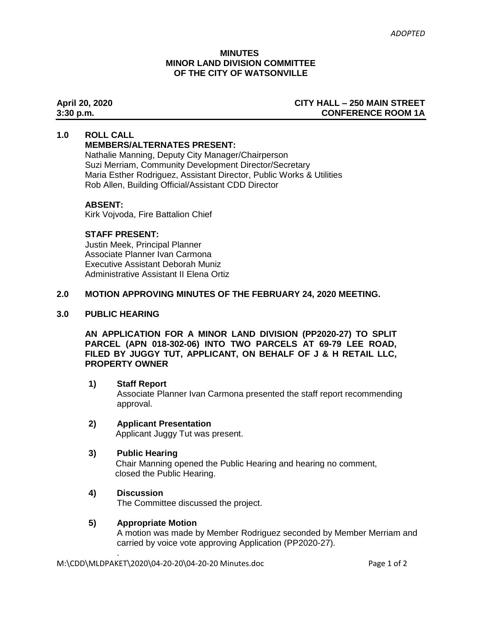#### **MINUTES MINOR LAND DIVISION COMMITTEE OF THE CITY OF WATSONVILLE**

#### **April 20, 2020 CITY HALL – 250 MAIN STREET 3:30 p.m. CONFERENCE ROOM 1A**

#### **1.0 ROLL CALL**

# **MEMBERS/ALTERNATES PRESENT:**

Nathalie Manning, Deputy City Manager/Chairperson Suzi Merriam, Community Development Director/Secretary Maria Esther Rodriguez, Assistant Director, Public Works & Utilities Rob Allen, Building Official/Assistant CDD Director

### **ABSENT:**

Kirk Vojvoda, Fire Battalion Chief

### **STAFF PRESENT:**

Justin Meek, Principal Planner Associate Planner Ivan Carmona Executive Assistant Deborah Muniz Administrative Assistant II Elena Ortiz

# **2.0 MOTION APPROVING MINUTES OF THE FEBRUARY 24, 2020 MEETING.**

#### **3.0 PUBLIC HEARING**

**AN APPLICATION FOR A MINOR LAND DIVISION (PP2020-27) TO SPLIT PARCEL (APN 018-302-06) INTO TWO PARCELS AT 69-79 LEE ROAD, FILED BY JUGGY TUT, APPLICANT, ON BEHALF OF J & H RETAIL LLC, PROPERTY OWNER**

#### **1) Staff Report**

Associate Planner Ivan Carmona presented the staff report recommending approval.

#### **2) Applicant Presentation**

Applicant Juggy Tut was present.

#### **3) Public Hearing**

Chair Manning opened the Public Hearing and hearing no comment, closed the Public Hearing.

# **4) Discussion**

.

The Committee discussed the project.

#### **5) Appropriate Motion**

A motion was made by Member Rodriguez seconded by Member Merriam and carried by voice vote approving Application (PP2020-27).